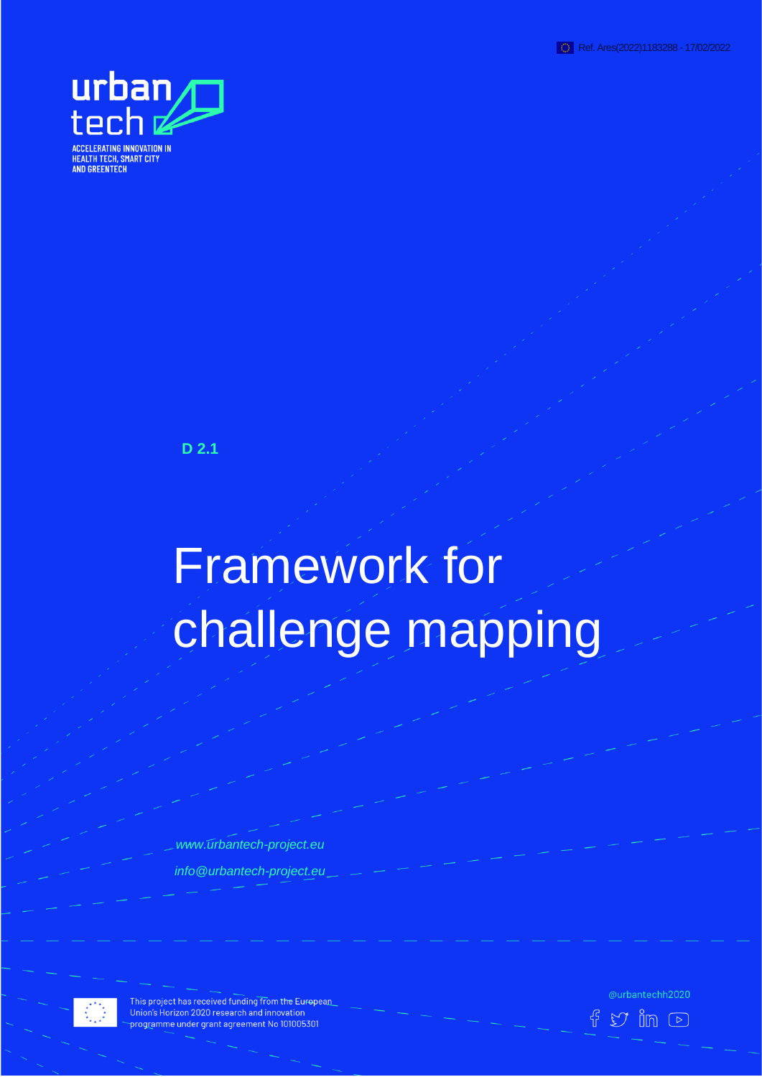



**D 2.1**

# Framework for challenge mapping

*www.urbantech-project.eu info@urbantech-project.eu*



This project has received funding from the European Union's Horizon 2020 research and innovation programme under grant agreement No 101005301

@urbantechh2020  $\mathfrak V$  in  $\circlearrowright$ 

邗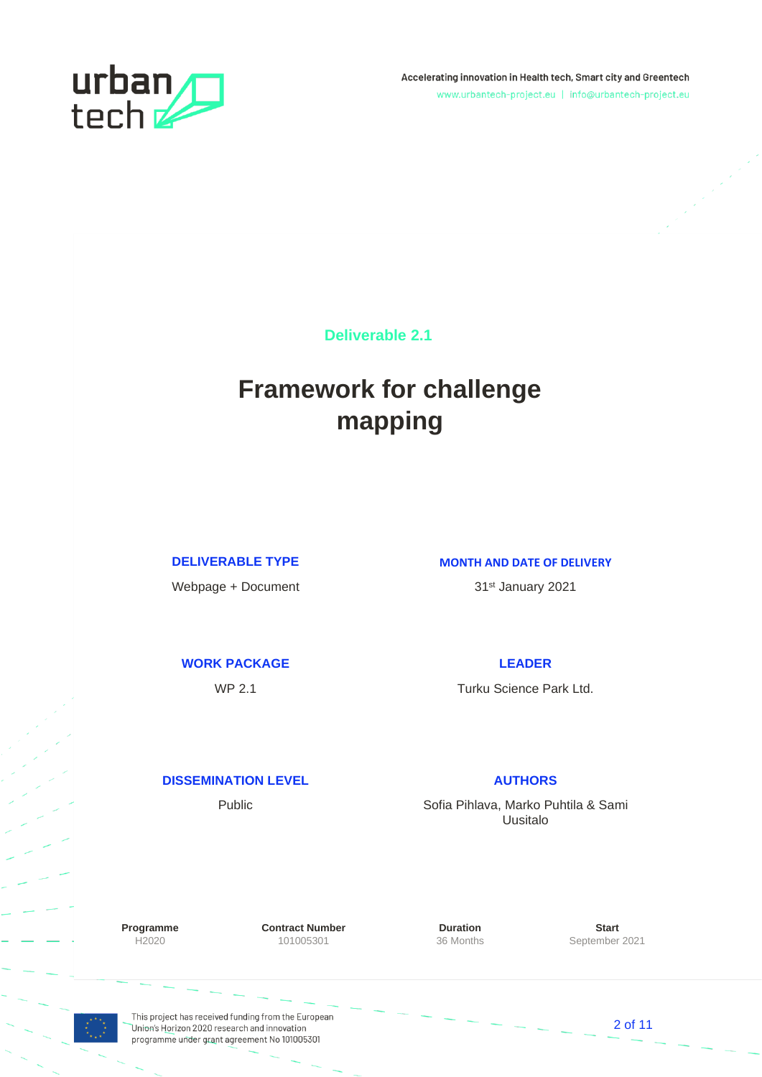

Accelerating innovation in Health tech, Smart city and Greentech www.urbantech-project.eu | info@urbantech-project.eu

**Deliverable 2.1**

## **Framework for challenge mapping**

Webpage + Document 31st January 2021

#### **DELIVERABLE TYPE MONTH AND DATE OF DELIVERY**

#### **WORK PACKAGE LEADER**

WP 2.1 Turku Science Park Ltd.

#### **DISSEMINATION LEVEL AUTHORS**

Public **No. 2018** Sofia Pihlava, Marko Puhtila & Sami Uusitalo

**Programme Contract Number Duration Contract Number Duration Start** H2020 101005301 36 Months September 2021

This project has received funding from the European Union's Horizon 2020 research and innovation programme under grant agreement No 101005301

2 of 11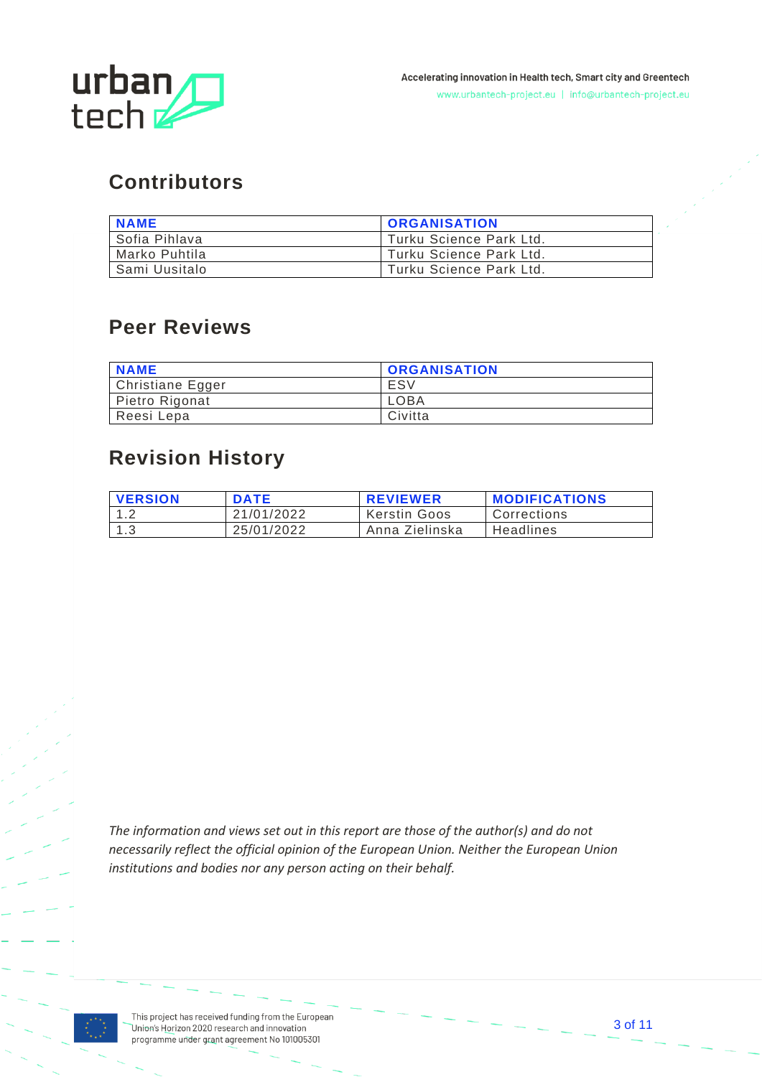

## **Contributors**

| <b>NAME</b>     | <b>ORGANISATION</b>     |
|-----------------|-------------------------|
| Sofia Pihlava   | Turku Science Park Ltd. |
| I Marko Puhtila | Turku Science Park Ltd. |
| l Sami Uusitalo | Turku Science Park Ltd. |

#### **Peer Reviews**

| <b>NAME</b>      | <b>ORGANISATION</b> |
|------------------|---------------------|
| Christiane Egger | ESV                 |
| Pietro Rigonat   | LOBA                |
| Reesi Lepa       | Civitta             |

### **Revision History**

| <b>VERSION</b> | <b>DATE</b> | <b>REVIEWER</b>     | <b>MODIFICATIONS</b> |
|----------------|-------------|---------------------|----------------------|
| 12             | 21/01/2022  | <b>Kerstin Goos</b> | Corrections          |
| 1.3            | 25/01/2022  | Anna Zielinska      | Headlines            |

*The information and views set out in this report are those of the author(s) and do not necessarily reflect the official opinion of the European Union. Neither the European Union institutions and bodies nor any person acting on their behalf.*

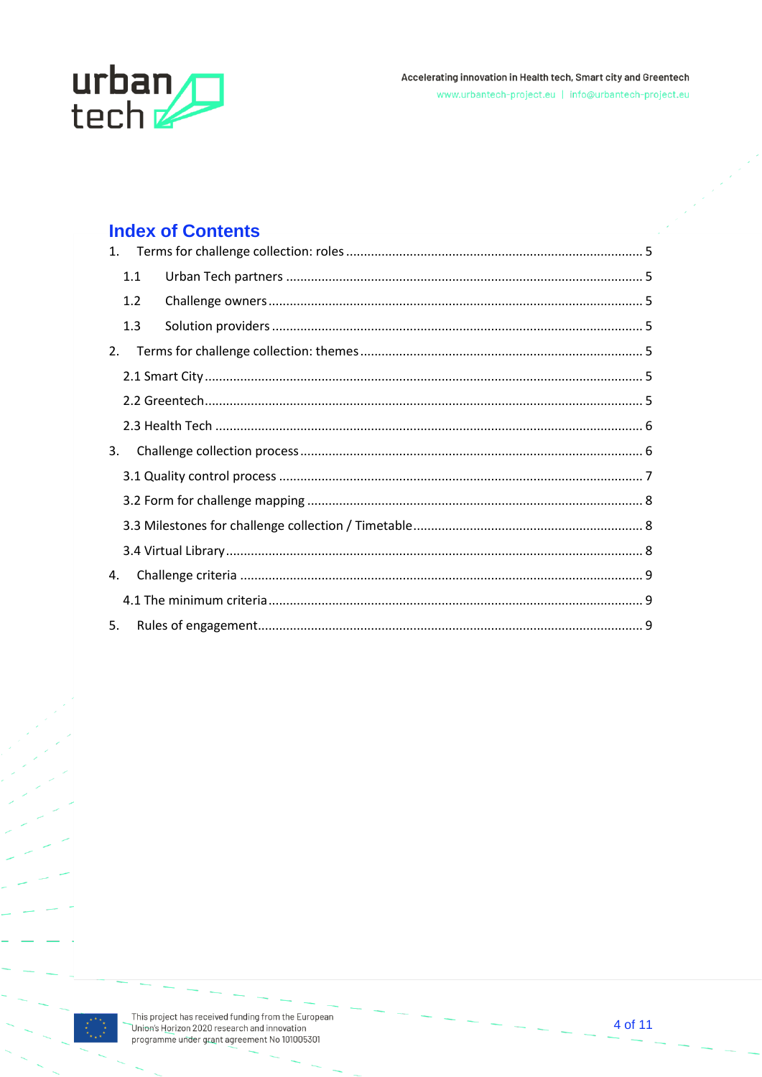

#### **Index of Contents**

|    | 1.1 |  |
|----|-----|--|
|    | 1.2 |  |
|    | 1.3 |  |
| 2. |     |  |
|    |     |  |
|    |     |  |
|    |     |  |
| 3. |     |  |
|    |     |  |
|    |     |  |
|    |     |  |
|    |     |  |
| 4. |     |  |
|    |     |  |
| 5. |     |  |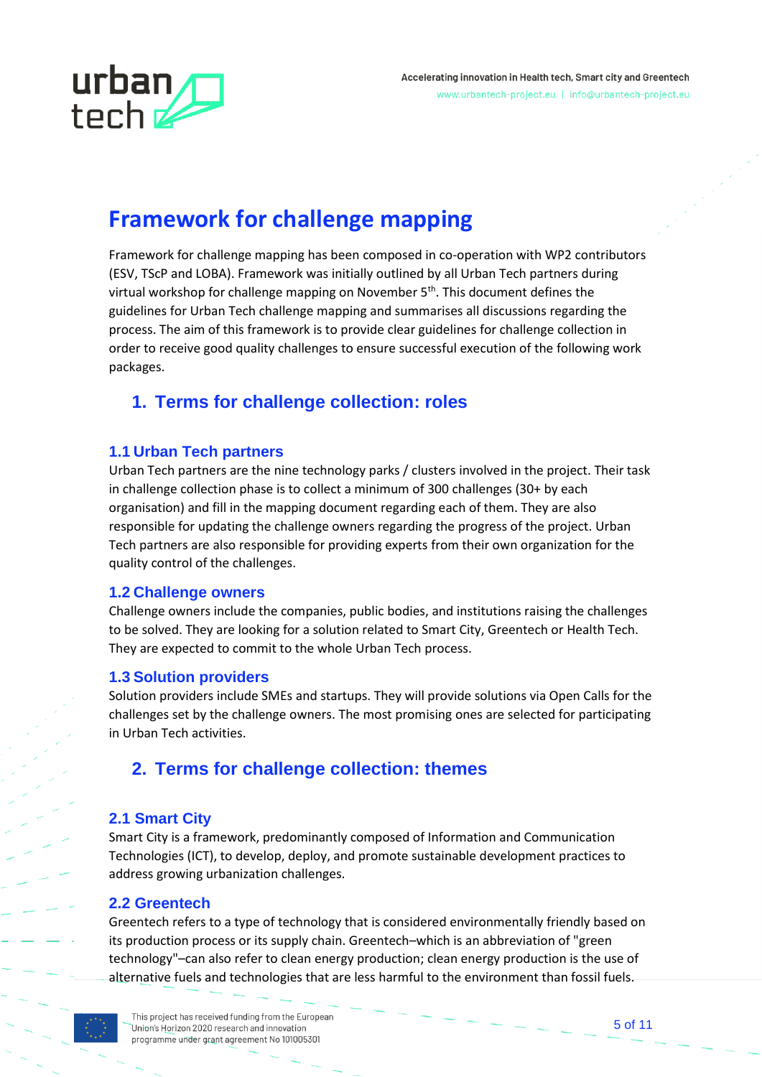

## **Framework for challenge mapping**

Framework for challenge mapping has been composed in co-operation with WP2 contributors (ESV, TScP and LOBA). Framework was initially outlined by all Urban Tech partners during virtual workshop for challenge mapping on November 5<sup>th</sup>. This document defines the guidelines for Urban Tech challenge mapping and summarises all discussions regarding the process. The aim of this framework is to provide clear guidelines for challenge collection in order to receive good quality challenges to ensure successful execution of the following work packages.

#### <span id="page-4-0"></span>**1. Terms for challenge collection: roles**

#### <span id="page-4-1"></span>**1.1 Urban Tech partners**

Urban Tech partners are the nine technology parks / clusters involved in the project. Their task in challenge collection phase is to collect a minimum of 300 challenges (30+ by each organisation) and fill in the mapping document regarding each of them. They are also responsible for updating the challenge owners regarding the progress of the project. Urban Tech partners are also responsible for providing experts from their own organization for the quality control of the challenges.

#### <span id="page-4-2"></span>**1.2 Challenge owners**

Challenge owners include the companies, public bodies, and institutions raising the challenges to be solved. They are looking for a solution related to Smart City, Greentech or Health Tech. They are expected to commit to the whole Urban Tech process.

#### <span id="page-4-3"></span>**1.3 Solution providers**

Solution providers include SMEs and startups. They will provide solutions via Open Calls for the challenges set by the challenge owners. The most promising ones are selected for participating in Urban Tech activities.

#### <span id="page-4-4"></span>**2. Terms for challenge collection: themes**

#### <span id="page-4-5"></span>**2.1 Smart City**

Smart City is a framework, predominantly composed of Information and Communication Technologies (ICT), to develop, deploy, and promote sustainable development practices to address growing urbanization challenges.

#### <span id="page-4-6"></span>**2.2 Greentech**

Greentech refers to a type of technology that is considered environmentally friendly based on its production process or its supply chain. Greentech–which is an abbreviation of "green technology"–can also refer to clean energy production; clean energy production is the use of alternative fuels and technologies that are less harmful to the environment than fossil fuels.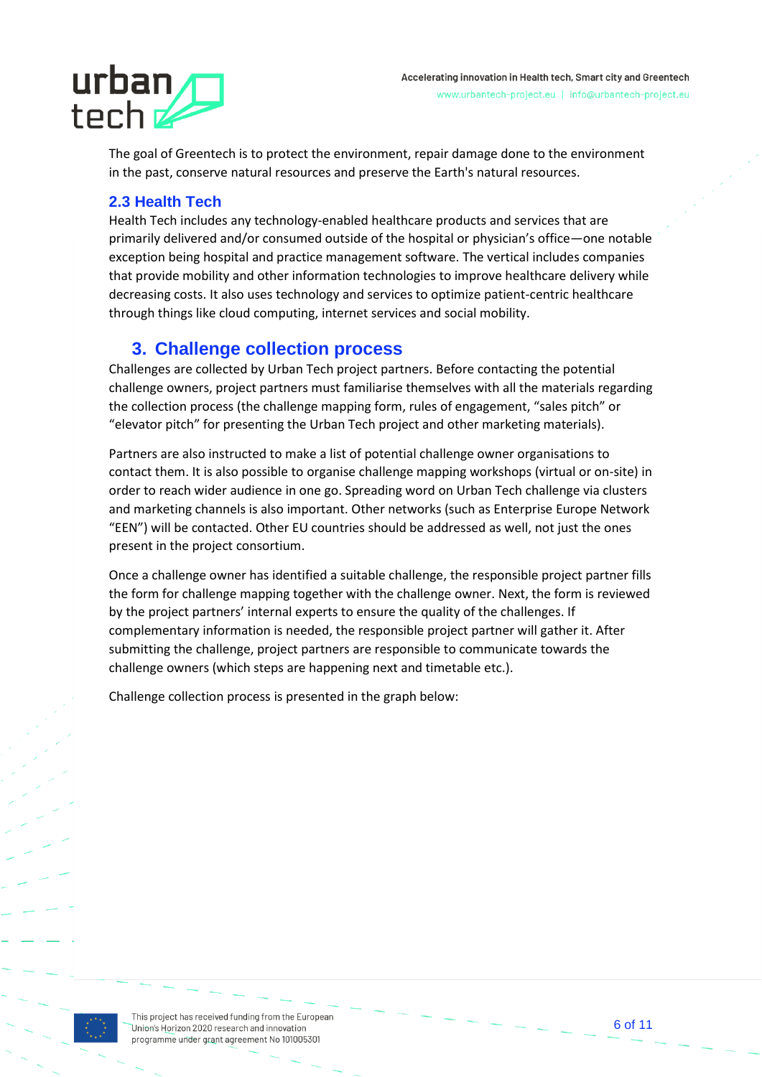# urban tech<sub>z</sub>

The goal of Greentech is to protect the environment, repair damage done to the environment in the past, conserve natural resources and preserve the Earth's natural resources.

#### <span id="page-5-0"></span>**2.3 Health Tech**

Health Tech includes any technology-enabled healthcare products and services that are primarily delivered and/or consumed outside of the hospital or physician's office—one notable exception being hospital and practice management software. The vertical includes companies that provide mobility and other information technologies to improve healthcare delivery while decreasing costs. It also uses technology and services to optimize patient-centric healthcare through things like cloud computing, internet services and social mobility.

#### <span id="page-5-1"></span>**3. Challenge collection process**

Challenges are collected by Urban Tech project partners. Before contacting the potential challenge owners, project partners must familiarise themselves with all the materials regarding the collection process (the challenge mapping form, rules of engagement, "sales pitch" or "elevator pitch" for presenting the Urban Tech project and other marketing materials).

Partners are also instructed to make a list of potential challenge owner organisations to contact them. It is also possible to organise challenge mapping workshops (virtual or on-site) in order to reach wider audience in one go. Spreading word on Urban Tech challenge via clusters and marketing channels is also important. Other networks (such as Enterprise Europe Network "EEN") will be contacted. Other EU countries should be addressed as well, not just the ones present in the project consortium.

Once a challenge owner has identified a suitable challenge, the responsible project partner fills the form for challenge mapping together with the challenge owner. Next, the form is reviewed by the project partners' internal experts to ensure the quality of the challenges. If complementary information is needed, the responsible project partner will gather it. After submitting the challenge, project partners are responsible to communicate towards the challenge owners (which steps are happening next and timetable etc.).

Challenge collection process is presented in the graph below:

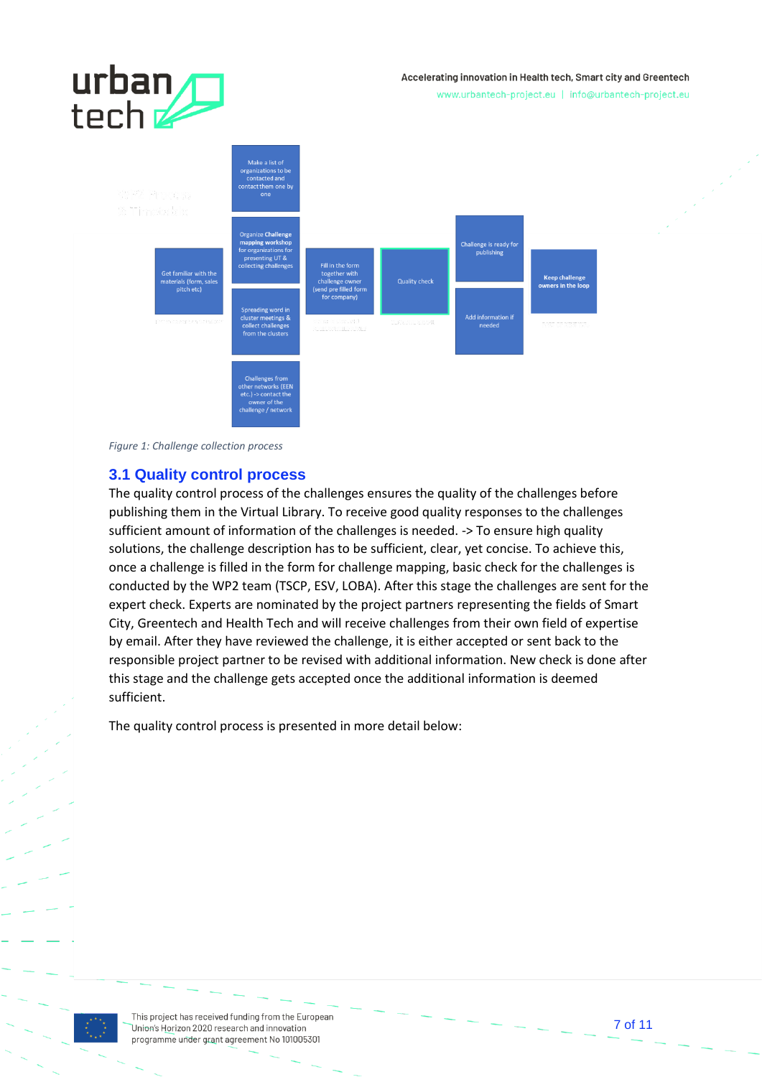#### Accelerating innovation in Health tech, Smart city and Greentech

urban<br>tech

www.urbantech-project.eu | info@urbantech-project.eu



*Figure 1: Challenge collection process*

#### <span id="page-6-0"></span>**3.1 Quality control process**

The quality control process of the challenges ensures the quality of the challenges before publishing them in the Virtual Library. To receive good quality responses to the challenges sufficient amount of information of the challenges is needed. -> To ensure high quality solutions, the challenge description has to be sufficient, clear, yet concise. To achieve this, once a challenge is filled in the form for challenge mapping, basic check for the challenges is conducted by the WP2 team (TSCP, ESV, LOBA). After this stage the challenges are sent for the expert check. Experts are nominated by the project partners representing the fields of Smart City, Greentech and Health Tech and will receive challenges from their own field of expertise by email. After they have reviewed the challenge, it is either accepted or sent back to the responsible project partner to be revised with additional information. New check is done after this stage and the challenge gets accepted once the additional information is deemed sufficient.

The quality control process is presented in more detail below:

This project has received funding from the European Union's Horizon 2020 research and innovation programme under grant agreement No 101005301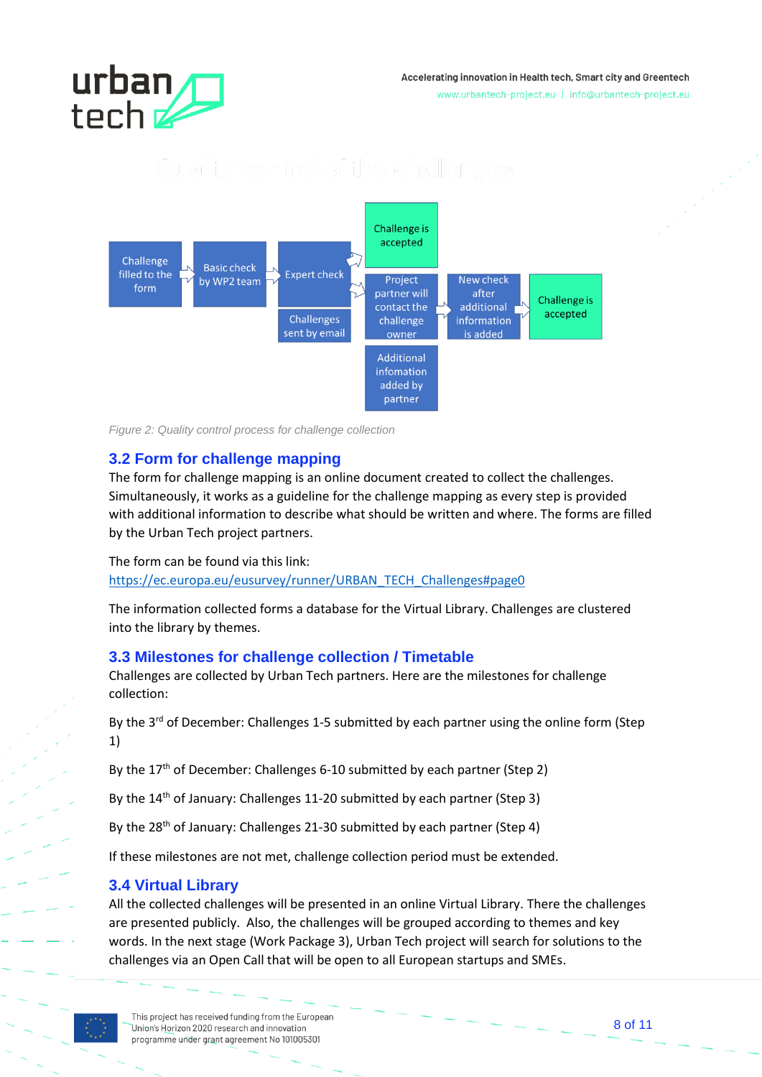# urban tech **z**

#### Accelerating innovation in Health tech, Smart city and Greentech

www.urbantech-project.eu | info@urbantech-project.eu

#### **Challenge is** accepted Challenge **Basic check Expert check** filled to the Project New check by WP2 team form partner will after Challenge is contact the additional accepted **Challenges** challenge information sent by email owner bebba zi **Additional** infomation added by partner

*Figure 2: Quality control process for challenge collection*

#### <span id="page-7-0"></span>**3.2 Form for challenge mapping**

The form for challenge mapping is an online document created to collect the challenges. Simultaneously, it works as a guideline for the challenge mapping as every step is provided with additional information to describe what should be written and where. The forms are filled by the Urban Tech project partners.

The form can be found via this link: [https://ec.europa.eu/eusurvey/runner/URBAN\\_TECH\\_Challenges#page0](https://ec.europa.eu/eusurvey/runner/URBAN_TECH_Challenges#page0)

The information collected forms a database for the Virtual Library. Challenges are clustered into the library by themes.

#### <span id="page-7-1"></span>**3.3 Milestones for challenge collection / Timetable**

Challenges are collected by Urban Tech partners. Here are the milestones for challenge collection:

By the 3<sup>rd</sup> of December: Challenges 1-5 submitted by each partner using the online form (Step 1)

By the 17<sup>th</sup> of December: Challenges 6-10 submitted by each partner (Step 2)

By the 14<sup>th</sup> of January: Challenges 11-20 submitted by each partner (Step 3)

By the 28<sup>th</sup> of January: Challenges 21-30 submitted by each partner (Step 4)

If these milestones are not met, challenge collection period must be extended.

#### <span id="page-7-2"></span>**3.4 Virtual Library**

All the collected challenges will be presented in an online Virtual Library. There the challenges are presented publicly. Also, the challenges will be grouped according to themes and key words. In the next stage (Work Package 3), Urban Tech project will search for solutions to the challenges via an Open Call that will be open to all European startups and SMEs.

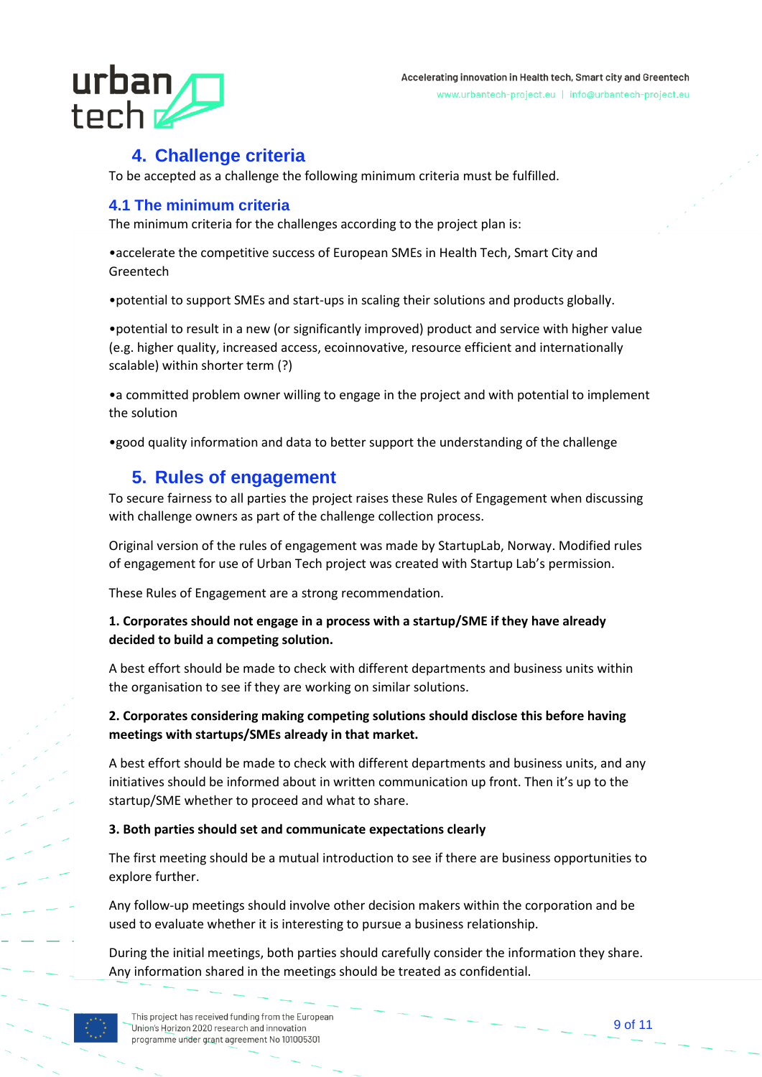# urban  $t$ ech  $z$

#### **4. Challenge criteria**

<span id="page-8-0"></span>To be accepted as a challenge the following minimum criteria must be fulfilled.

#### <span id="page-8-1"></span>**4.1 The minimum criteria**

The minimum criteria for the challenges according to the project plan is:

•accelerate the competitive success of European SMEs in Health Tech, Smart City and Greentech

•potential to support SMEs and start-ups in scaling their solutions and products globally.

•potential to result in a new (or significantly improved) product and service with higher value (e.g. higher quality, increased access, ecoinnovative, resource efficient and internationally scalable) within shorter term (?)

•a committed problem owner willing to engage in the project and with potential to implement the solution

•good quality information and data to better support the understanding of the challenge

#### <span id="page-8-2"></span>**5. Rules of engagement**

To secure fairness to all parties the project raises these Rules of Engagement when discussing with challenge owners as part of the challenge collection process.

Original version of the rules of engagement was made by StartupLab, Norway. Modified rules of engagement for use of Urban Tech project was created with Startup Lab's permission.

These Rules of Engagement are a strong recommendation.

#### **1. Corporates should not engage in a process with a startup/SME if they have already decided to build a competing solution.**

A best effort should be made to check with different departments and business units within the organisation to see if they are working on similar solutions.

**2. Corporates considering making competing solutions should disclose this before having meetings with startups/SMEs already in that market.**

A best effort should be made to check with different departments and business units, and any initiatives should be informed about in written communication up front. Then it's up to the startup/SME whether to proceed and what to share.

#### **3. Both parties should set and communicate expectations clearly**

The first meeting should be a mutual introduction to see if there are business opportunities to explore further.

Any follow-up meetings should involve other decision makers within the corporation and be used to evaluate whether it is interesting to pursue a business relationship.

During the initial meetings, both parties should carefully consider the information they share. Any information shared in the meetings should be treated as confidential.

This project has received funding from the European Union's Horizon 2020 research and innovation programme under grant agreement No 101005301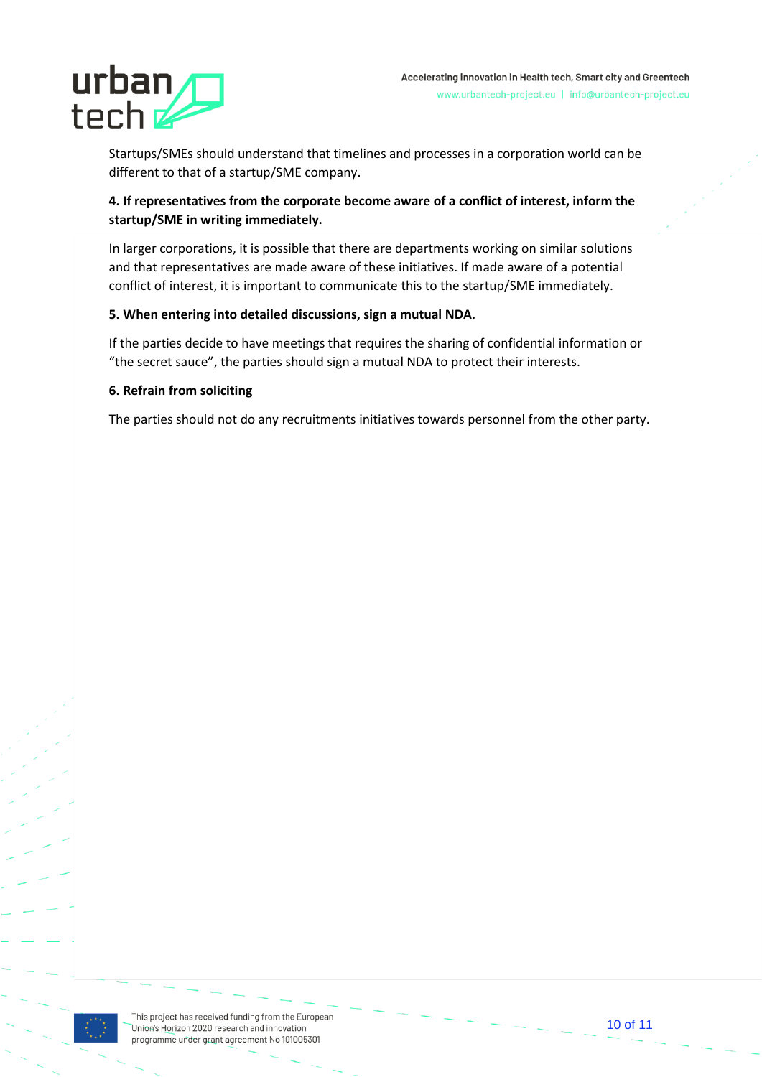

Startups/SMEs should understand that timelines and processes in a corporation world can be different to that of a startup/SME company.

#### **4. If representatives from the corporate become aware of a conflict of interest, inform the startup/SME in writing immediately.**

In larger corporations, it is possible that there are departments working on similar solutions and that representatives are made aware of these initiatives. If made aware of a potential conflict of interest, it is important to communicate this to the startup/SME immediately.

#### **5. When entering into detailed discussions, sign a mutual NDA.**

If the parties decide to have meetings that requires the sharing of confidential information or "the secret sauce", the parties should sign a mutual NDA to protect their interests.

#### **6. Refrain from soliciting**

The parties should not do any recruitments initiatives towards personnel from the other party.